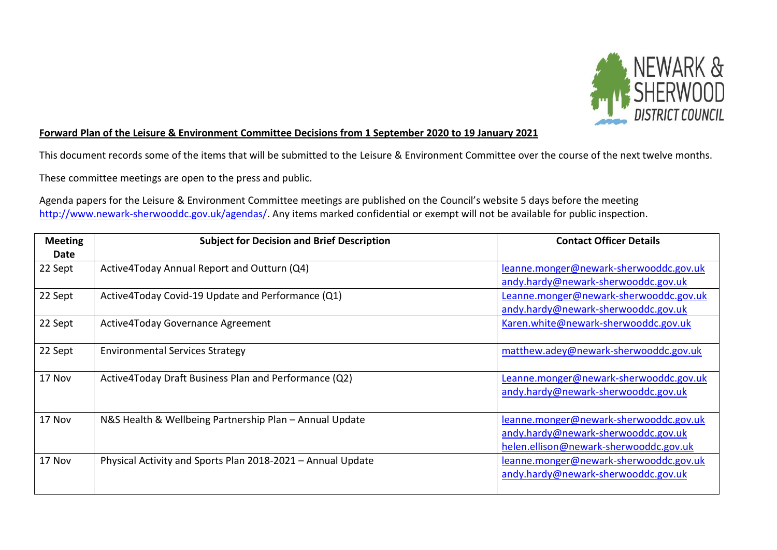

## **Forward Plan of the Leisure & Environment Committee Decisions from 1 September 2020 to 19 January 2021**

This document records some of the items that will be submitted to the Leisure & Environment Committee over the course of the next twelve months.

These committee meetings are open to the press and public.

Agenda papers for the Leisure & Environment Committee meetings are published on the Council's website 5 days before the meeting [http://www.newark-sherwooddc.gov.uk/agendas/.](http://www.newark-sherwooddc.gov.uk/agendas/) Any items marked confidential or exempt will not be available for public inspection.

| <b>Meeting</b><br>Date | <b>Subject for Decision and Brief Description</b>           | <b>Contact Officer Details</b>                                                                                          |
|------------------------|-------------------------------------------------------------|-------------------------------------------------------------------------------------------------------------------------|
| 22 Sept                | Active4Today Annual Report and Outturn (Q4)                 | leanne.monger@newark-sherwooddc.gov.uk<br>andy.hardy@newark-sherwooddc.gov.uk                                           |
| 22 Sept                | Active4Today Covid-19 Update and Performance (Q1)           | Leanne.monger@newark-sherwooddc.gov.uk<br>andy.hardy@newark-sherwooddc.gov.uk                                           |
| 22 Sept                | Active4Today Governance Agreement                           | Karen.white@newark-sherwooddc.gov.uk                                                                                    |
| 22 Sept                | <b>Environmental Services Strategy</b>                      | matthew.adey@newark-sherwooddc.gov.uk                                                                                   |
| 17 Nov                 | Active4Today Draft Business Plan and Performance (Q2)       | Leanne.monger@newark-sherwooddc.gov.uk<br>andy.hardy@newark-sherwooddc.gov.uk                                           |
| 17 Nov                 | N&S Health & Wellbeing Partnership Plan - Annual Update     | leanne.monger@newark-sherwooddc.gov.uk<br>andy.hardy@newark-sherwooddc.gov.uk<br>helen.ellison@newark-sherwooddc.gov.uk |
| 17 Nov                 | Physical Activity and Sports Plan 2018-2021 - Annual Update | leanne.monger@newark-sherwooddc.gov.uk<br>andy.hardy@newark-sherwooddc.gov.uk                                           |